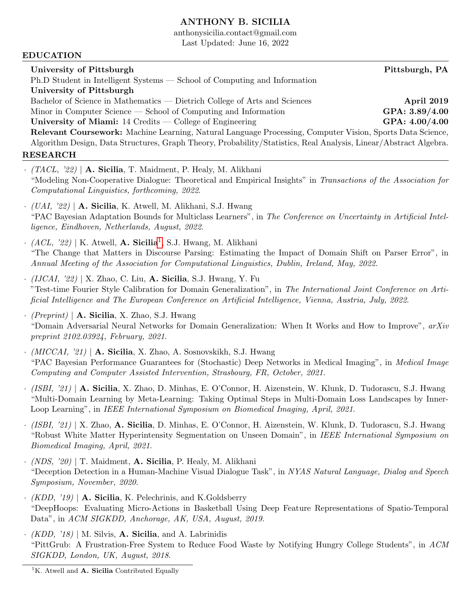### ANTHONY B. SICILIA

anthonysicilia.contact@gmail.com

Last Updated: June 16, 2022

#### EDUCATION

University of Pittsburgh Pittsburgh Pittsburgh, PA Ph.D Student in Intelligent Systems — School of Computing and Information University of Pittsburgh Bachelor of Science in Mathematics — Dietrich College of Arts and Sciences **April 2019** Minor in Computer Science — School of Computing and Information GPA: 3.89/4.00 University of Miami: 14 Credits — College of Engineering GPA: 4.00/4.00 Relevant Coursework: Machine Learning, Natural Language Processing, Computer Vision, Sports Data Science, Algorithm Design, Data Structures, Graph Theory, Probability/Statistics, Real Analysis, Linear/Abstract Algebra.

### RESEARCH

- $(TACL, '22)$  | A. Sicilia, T. Maidment, P. Healy, M. Alikhani "Modeling Non-Cooperative Dialogue: Theoretical and Empirical Insights" in Transactions of the Association for Computational Linguistics, forthcoming, 2022.
- $\cdot$  (UAI, '22) | A. Sicilia, K. Atwell, M. Alikhani, S.J. Hwang "PAC Bayesian Adaptation Bounds for Multiclass Learners", in The Conference on Uncertainty in Artificial Intelligence, Eindhoven, Netherlands, August, 2022.
- $\cdot$  (ACL, '22) | K. Atwell, **A. Sicilia**<sup>[1](#page-0-0)</sup>, S.J. Hwang, M. Alikhani "The Change that Matters in Discourse Parsing: Estimating the Impact of Domain Shift on Parser Error", in Annual Meeting of the Association for Computational Linguistics, Dublin, Ireland, May, 2022.
- $\cdot$  (IJCAI, '22) | X. Zhao, C. Liu, **A. Sicilia**, S.J. Hwang, Y. Fu "Test-time Fourier Style Calibration for Domain Generalization", in The International Joint Conference on Artificial Intelligence and The European Conference on Artificial Intelligence, Vienna, Austria, July, 2022.
- $\cdot$  (Preprint) | A. Sicilia, X. Zhao, S.J. Hwang "Domain Adversarial Neural Networks for Domain Generalization: When It Works and How to Improve", arXiv preprint 2102.03924, February, 2021.
- $\cdot$  (MICCAI, '21) | A. Sicilia, X. Zhao, A. Sosnovskikh, S.J. Hwang "PAC Bayesian Performance Guarantees for (Stochastic) Deep Networks in Medical Imaging", in Medical Image Computing and Computer Assisted Intervention, Strasbourg, FR, October, 2021.
- · (ISBI, '21) | A. Sicilia, X. Zhao, D. Minhas, E. O'Connor, H. Aizenstein, W. Klunk, D. Tudorascu, S.J. Hwang "Multi-Domain Learning by Meta-Learning: Taking Optimal Steps in Multi-Domain Loss Landscapes by Inner-Loop Learning", in IEEE International Symposium on Biomedical Imaging, April, 2021.
- · (ISBI, '21) | X. Zhao, A. Sicilia, D. Minhas, E. O'Connor, H. Aizenstein, W. Klunk, D. Tudorascu, S.J. Hwang "Robust White Matter Hyperintensity Segmentation on Unseen Domain", in IEEE International Symposium on Biomedical Imaging, April, 2021.
- $\cdot$  (NDS, '20) | T. Maidment, **A. Sicilia**, P. Healy, M. Alikhani "Deception Detection in a Human-Machine Visual Dialogue Task", in NYAS Natural Language, Dialog and Speech Symposium, November, 2020.
- $\cdot$  (KDD, '19) | **A. Sicilia**, K. Pelechrinis, and K. Goldsberry "DeepHoops: Evaluating Micro-Actions in Basketball Using Deep Feature Representations of Spatio-Temporal Data", in ACM SIGKDD, Anchorage, AK, USA, August, 2019.
- $\cdot$  (KDD, '18) | M. Silvis, **A. Sicilia**, and A. Labrinidis "PittGrub: A Frustration-Free System to Reduce Food Waste by Notifying Hungry College Students", in ACM SIGKDD, London, UK, August, 2018.

<span id="page-0-0"></span><sup>&</sup>lt;sup>1</sup>K. Atwell and **A. Sicilia** Contributed Equally